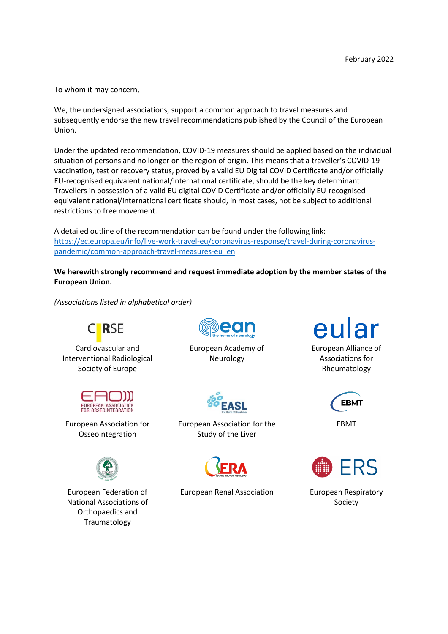To whom it may concern,

We, the undersigned associations, support a common approach to travel measures and subsequently endorse the new travel recommendations published by the Council of the European Union.

Under the updated recommendation, COVID-19 measures should be applied based on the individual situation of persons and no longer on the region of origin. This means that a traveller's COVID-19 vaccination, test or recovery status, proved by a valid EU Digital COVID Certificate and/or officially EU-recognised equivalent national/international certificate, should be the key determinant. Travellers in possession of a valid EU digital COVID Certificate and/or officially EU-recognised equivalent national/international certificate should, in most cases, not be subject to additional restrictions to free movement.

A detailed outline of the recommendation can be found under the following link: [https://ec.europa.eu/info/live-work-travel-eu/coronavirus-response/travel-during-coronavirus](https://ec.europa.eu/info/live-work-travel-eu/coronavirus-response/travel-during-coronavirus-pandemic/common-approach-travel-measures-eu_en)[pandemic/common-approach-travel-measures-eu\\_en](https://ec.europa.eu/info/live-work-travel-eu/coronavirus-response/travel-during-coronavirus-pandemic/common-approach-travel-measures-eu_en)

**We herewith strongly recommend and request immediate adoption by the member states of the European Union.**

*(Associations listed in alphabetical order)*



Cardiovascular and Interventional Radiological Society of Europe



European Association for Osseointegration



European Federation of National Associations of Orthopaedics and Traumatology



European Academy of Neurology



European Association for the Study of the Liver



European Renal Association European Respiratory



European Alliance of Associations for Rheumatology



EBMT



Society